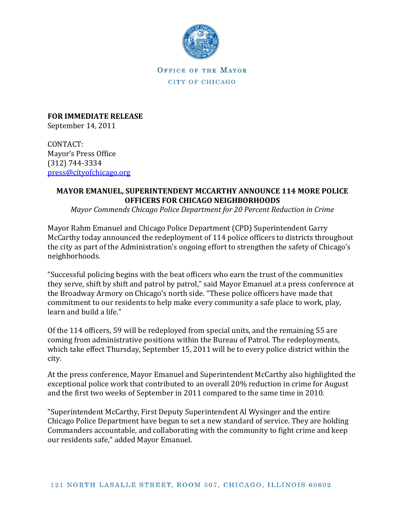

OFFICE OF THE MAYOR CITY OF CHICAGO

**FOR IMMEDIATE RELEASE**  September 14, 2011

CONTACT: Mayor's Press Office (312) 744-3334 [press@cityofchicago.org](https://connect.cityofchicago.org/owa/,DanaInfo=basicauth.cityofchicago.local,SSL+redir.aspx?C=db47f1c095d245cba3b919a14d291bd3&URL=mailto%3apress%40cityofchicago.org)

## **MAYOR EMANUEL, SUPERINTENDENT MCCARTHY ANNOUNCE 114 MORE POLICE OFFICERS FOR CHICAGO NEIGHBORHOODS**

*Mayor Commends Chicago Police Department for 20 Percent Reduction in Crime*

Mayor Rahm Emanuel and Chicago Police Department (CPD) Superintendent Garry McCarthy today announced the redeployment of 114 police officers to districts throughout the city as part of the Administration's ongoing effort to strengthen the safety of Chicago's neighborhoods.

"Successful policing begins with the beat officers who earn the trust of the communities they serve, shift by shift and patrol by patrol," said Mayor Emanuel at a press conference at the Broadway Armory on Chicago's north side. "These police officers have made that commitment to our residents to help make every community a safe place to work, play, learn and build a life."

Of the 114 officers, 59 will be redeployed from special units, and the remaining 55 are coming from administrative positions within the Bureau of Patrol. The redeployments, which take effect Thursday, September 15, 2011 will be to every police district within the city.

At the press conference, Mayor Emanuel and Superintendent McCarthy also highlighted the exceptional police work that contributed to an overall 20% reduction in crime for August and the first two weeks of September in 2011 compared to the same time in 2010.

"Superintendent McCarthy, First Deputy Superintendent Al Wysinger and the entire Chicago Police Department have begun to set a new standard of service. They are holding Commanders accountable, and collaborating with the community to fight crime and keep our residents safe," added Mayor Emanuel.